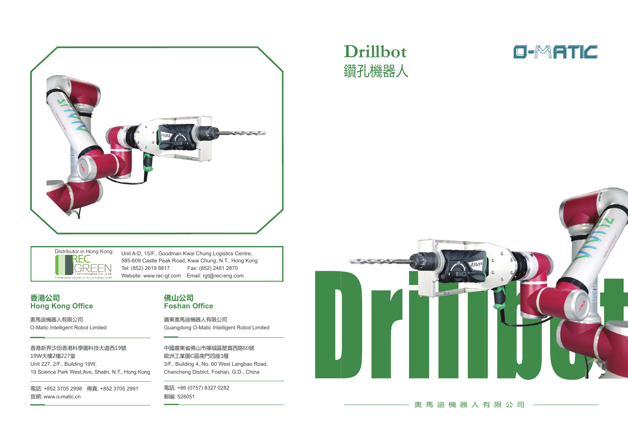

## **Drillbot** 鑽孔機器人





### 。 奧 馬 油 機 器 人 有 限 公 司

Distributor in Hong Kong:IRFFI

Unit A-D, 15/F., Goodman Kwai Chung Logistics Centre, 585-609 Castle Peak Road, Kwai Chung, N.T., Hong Kong Tel: (852) 2619 8817 Fax: (852) 2481 2870 Website: www.rec-gt.com Email: rgt@rec-eng.com

### 香港公司 **Hong Kong Office**

奧馬迪機器人有限公司 O-Matic Intelligent Robot Limited

香港新界沙田香港科學園科技大道西19號 19W大樓2樓227室 Unit 227, 2/F., Building 19W, 19 Science Park West.Ave, Shatin, N.T., Hong Kong

電話: +852 3705 2998 傳真: +852 3705 2991 ؒ侸 www.o-matic.cn

### 佛山公司 **Foshan Office**

廣東奧馬迪機器人有限公司 Guangdong O-Matic Intelligent Robot Limited

中國廣東省佛山市禪城區塱寶西路60號 歐洲工業園C區南門四座3層 3/F., Building 4, No. 60 West Langbao Road, Chancheng District, Foshan, G.D., China

電話: +86 (0757) 8327 0282 **郵編· 528051**